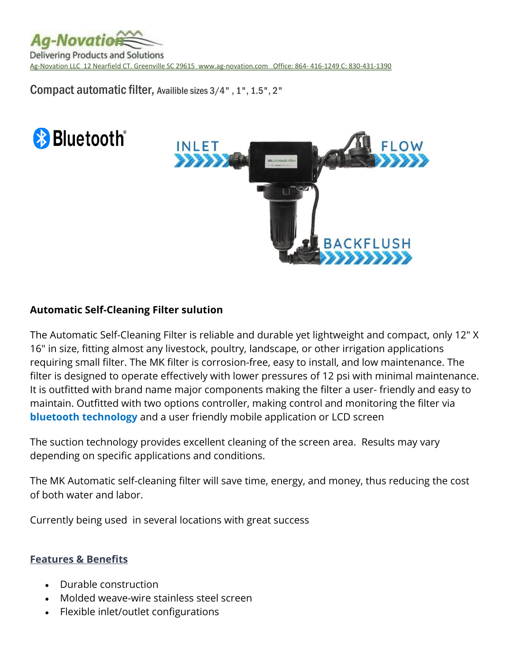

Compact automatic filter, Availible sizes 3/4" , 1", 1.5", 2"





# **Automatic Self-Cleaning Filter sulution**

The Automatic Self-Cleaning Filter is reliable and durable yet lightweight and compact, only 12" X 16" in size, fitting almost any livestock, poultry, landscape, or other irrigation applications requiring small filter. The MK filter is corrosion-free, easy to install, and low maintenance. The filter is designed to operate effectively with lower pressures of 12 psi with minimal maintenance. It is outfitted with brand name major components making the filter a user- friendly and easy to maintain. Outfitted with two options controller, making control and monitoring the filter via **bluetooth technology** and a user friendly mobile application or LCD screen

The suction technology provides excellent cleaning of the screen area. Results may vary depending on specific applications and conditions.

The MK Automatic self-cleaning filter will save time, energy, and money, thus reducing the cost of both water and labor.

Currently being used in several locations with great success

## **Features & Benefits**

- Durable construction
- Molded weave-wire stainless steel screen
- Flexible inlet/outlet configurations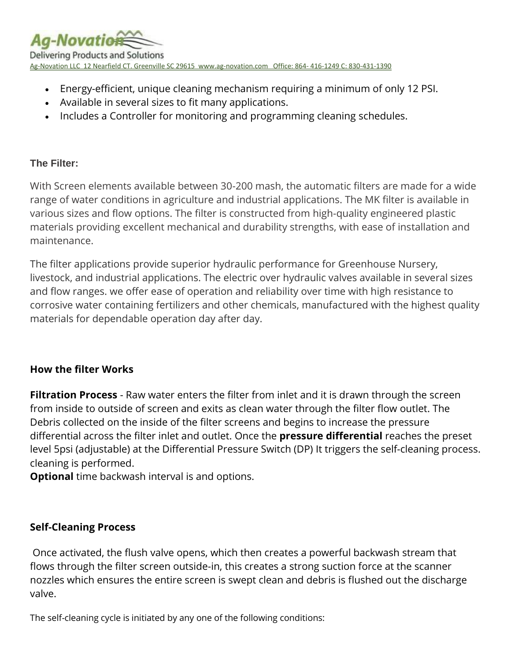

- Energy-efficient, unique cleaning mechanism requiring a minimum of only 12 PSI.
- Available in several sizes to fit many applications.
- Includes a Controller for monitoring and programming cleaning schedules.

# **The Filter:**

With Screen elements available between 30-200 mash, the automatic filters are made for a wide range of water conditions in agriculture and industrial applications. The MK filter is available in various sizes and flow options. The filter is constructed from high-quality engineered plastic materials providing excellent mechanical and durability strengths, with ease of installation and maintenance.

The filter applications provide superior hydraulic performance for Greenhouse Nursery, livestock, and industrial applications. The electric over hydraulic valves available in several sizes and flow ranges. we offer ease of operation and reliability over time with high resistance to corrosive water containing fertilizers and other chemicals, manufactured with the highest quality materials for dependable operation day after day.

# **How the filter Works**

**Filtration Process** - Raw water enters the filter from inlet and it is drawn through the screen from inside to outside of screen and exits as clean water through the filter flow outlet. The Debris collected on the inside of the filter screens and begins to increase the pressure differential across the filter inlet and outlet. Once the **pressure differential** reaches the preset level 5psi (adjustable) at the Differential Pressure Switch (DP) It triggers the self-cleaning process. cleaning is performed.

**Optional** time backwash interval is and options.

# **Self-Cleaning Process**

Once activated, the flush valve opens, which then creates a powerful backwash stream that flows through the filter screen outside-in, this creates a strong suction force at the scanner nozzles which ensures the entire screen is swept clean and debris is flushed out the discharge valve.

The self-cleaning cycle is initiated by any one of the following conditions: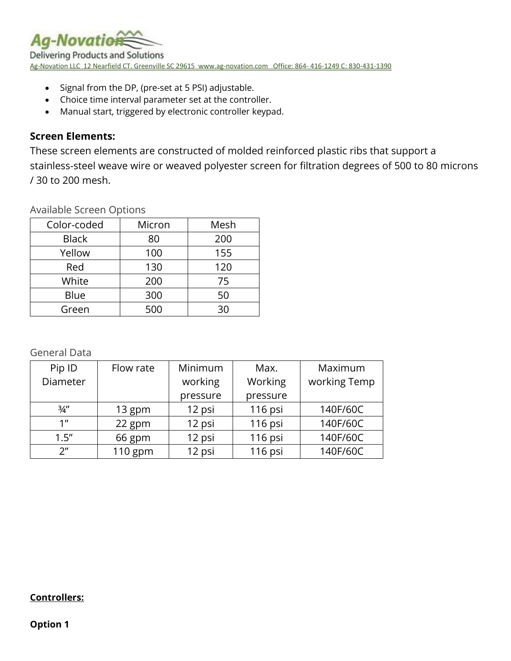

- Signal from the DP, (pre-set at 5 PSI) adjustable.
- Choice time interval parameter set at the controller.
- Manual start, triggered by electronic controller keypad.

## **Screen Elements:**

These screen elements are constructed of molded reinforced plastic ribs that support a stainless-steel weave wire or weaved polyester screen for filtration degrees of 500 to 80 microns / 30 to 200 mesh.

Available Screen Options

| Color-coded  | Micron | Mesh |
|--------------|--------|------|
| <b>Black</b> | 80     | 200  |
| Yellow       | 100    | 155  |
| Red          | 130    | 120  |
| White        | 200    | 75   |
| Blue         | 300    | 50   |
| Green        | 500    | 30   |

General Data

| Pip ID             | Flow rate | Minimum  | Max.     | Maximum      |
|--------------------|-----------|----------|----------|--------------|
| Diameter           |           | working  | Working  | working Temp |
|                    |           | pressure | pressure |              |
| $\frac{3}{4}$ "    | 13 gpm    | 12 psi   | 116 psi  | 140F/60C     |
| 1 <sup>''</sup>    | 22 gpm    | 12 psi   | 116 psi  | 140F/60C     |
| 1.5''              | 66 gpm    | 12 psi   | 116 psi  | 140F/60C     |
| $2^{\prime\prime}$ | $110$ gpm | 12 psi   | 116 psi  | 140F/60C     |

### **Controllers:**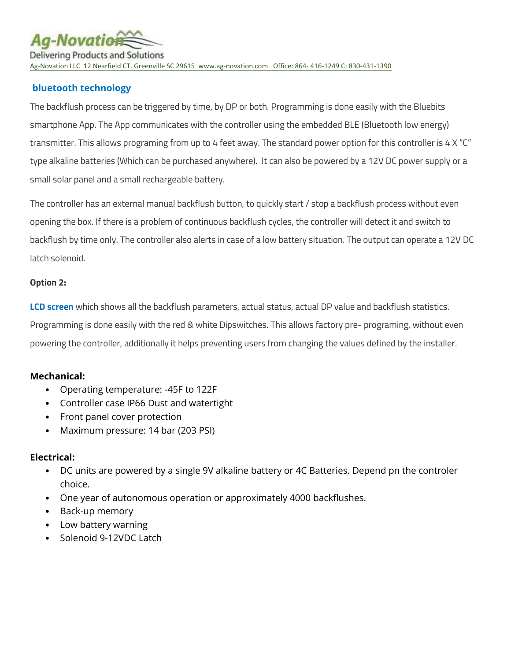**Aa-Novatio Delivering Products and Solutions** Ag-Novation LLC 12 Nearfield CT. Greenville SC 29615 [www.ag-novation.com](http://www.ag-novation.com/) Office: 864- 416-1249 C: 830-431-1390

## **bluetooth technology**

The backflush process can be triggered by time, by DP or both. Programming is done easily with the Bluebits smartphone App. The App communicates with the controller using the embedded BLE (Bluetooth low energy) transmitter. This allows programing from up to 4 feet away. The standard power option for this controller is 4 X "C" type alkaline batteries (Which can be purchased anywhere). It can also be powered by a 12V DC power supply or a small solar panel and a small rechargeable battery.

The controller has an external manual backflush button, to quickly start / stop a backflush process without even opening the box. If there is a problem of continuous backflush cycles, the controller will detect it and switch to backflush by time only. The controller also alerts in case of a low battery situation. The output can operate a 12V DC latch solenoid.

#### **Option 2:**

**LCD screen** which shows all the backflush parameters, actual status, actual DP value and backflush statistics. Programming is done easily with the red & white Dipswitches. This allows factory pre- programing, without even powering the controller, additionally it helps preventing users from changing the values defined by the installer.

### **Mechanical:**

- Operating temperature: -45F to 122F
- Controller case IP66 Dust and watertight
- Front panel cover protection
- Maximum pressure: 14 bar (203 PSI)

### **Electrical:**

- DC units are powered by a single 9V alkaline battery or 4C Batteries. Depend pn the controler choice.
- One year of autonomous operation or approximately 4000 backflushes.
- Back-up memory
- Low battery warning
- Solenoid 9-12VDC Latch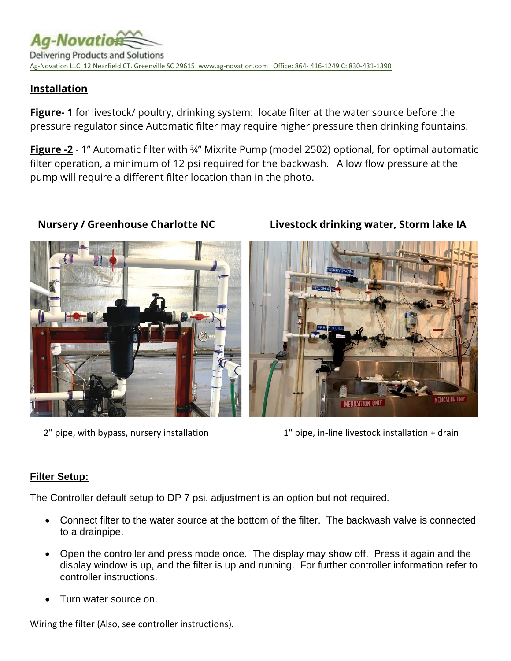

# **Installation**

**Figure- 1** for livestock/ poultry, drinking system: locate filter at the water source before the pressure regulator since Automatic filter may require higher pressure then drinking fountains.

**Figure -2** - 1" Automatic filter with ¾" Mixrite Pump (model 2502) optional, for optimal automatic filter operation, a minimum of 12 psi required for the backwash. A low flow pressure at the pump will require a different filter location than in the photo.



 **Nursery / Greenhouse Charlotte NC Livestock drinking water, Storm lake IA** 



2" pipe, with bypass, nursery installation 1" pipe, in-line livestock installation + drain

## **Filter Setup:**

The Controller default setup to DP 7 psi, adjustment is an option but not required.

- Connect filter to the water source at the bottom of the filter. The backwash valve is connected to a drainpipe.
- Open the controller and press mode once. The display may show off. Press it again and the display window is up, and the filter is up and running. For further controller information refer to controller instructions.
- Turn water source on.

Wiring the filter (Also, see controller instructions).